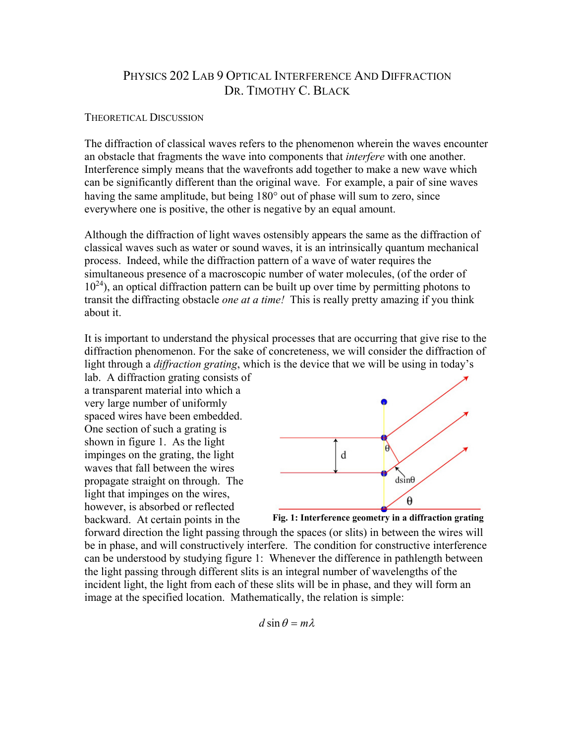# PHYSICS 202 LAB 9 OPTICAL INTERFERENCE AND DIFFRACTION DR. TIMOTHY C. BLACK

#### THEORETICAL DISCUSSION

The diffraction of classical waves refers to the phenomenon wherein the waves encounter an obstacle that fragments the wave into components that *interfere* with one another. Interference simply means that the wavefronts add together to make a new wave which can be significantly different than the original wave. For example, a pair of sine waves having the same amplitude, but being 180° out of phase will sum to zero, since everywhere one is positive, the other is negative by an equal amount.

Although the diffraction of light waves ostensibly appears the same as the diffraction of classical waves such as water or sound waves, it is an intrinsically quantum mechanical process. Indeed, while the diffraction pattern of a wave of water requires the simultaneous presence of a macroscopic number of water molecules, (of the order of  $10^{24}$ ), an optical diffraction pattern can be built up over time by permitting photons to transit the diffracting obstacle *one at a time!* This is really pretty amazing if you think about it.

It is important to understand the physical processes that are occurring that give rise to the diffraction phenomenon. For the sake of concreteness, we will consider the diffraction of light through a *diffraction grating*, which is the device that we will be using in today's

lab. A diffraction grating consists of a transparent material into which a very large number of uniformly spaced wires have been embedded. One section of such a grating is shown in figure 1. As the light impinges on the grating, the light waves that fall between the wires propagate straight on through. The light that impinges on the wires, however, is absorbed or reflected backward. At certain points in the





forward direction the light passing through the spaces (or slits) in between the wires will be in phase, and will constructively interfere. The condition for constructive interference can be understood by studying figure 1: Whenever the difference in pathlength between the light passing through different slits is an integral number of wavelengths of the incident light, the light from each of these slits will be in phase, and they will form an image at the specified location. Mathematically, the relation is simple: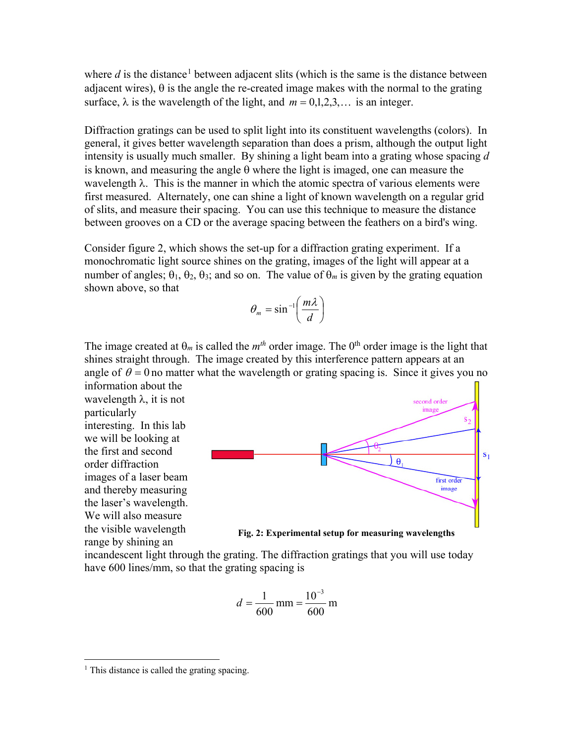where  $d$  is the distance<sup>[1](#page-1-0)</sup> between adjacent slits (which is the same is the distance between adjacent wires),  $\theta$  is the angle the re-created image makes with the normal to the grating surface,  $\lambda$  is the wavelength of the light, and  $m = 0,1,2,3,...$  is an integer.

Diffraction gratings can be used to split light into its constituent wavelengths (colors). In general, it gives better wavelength separation than does a prism, although the output light intensity is usually much smaller. By shining a light beam into a grating whose spacing *d* is known, and measuring the angle  $\theta$  where the light is imaged, one can measure the wavelength  $\lambda$ . This is the manner in which the atomic spectra of various elements were first measured. Alternately, one can shine a light of known wavelength on a regular grid of slits, and measure their spacing. You can use this technique to measure the distance between grooves on a CD or the average spacing between the feathers on a bird's wing.

Consider figure 2, which shows the set-up for a diffraction grating experiment. If a monochromatic light source shines on the grating, images of the light will appear at a number of angles;  $\theta_1$ ,  $\theta_2$ ,  $\theta_3$ ; and so on. The value of  $\theta_m$  is given by the grating equation shown above, so that

$$
\theta_m = \sin^{-1}\left(\frac{m\lambda}{d}\right)
$$

The image created at  $\theta_m$  is called the  $m<sup>th</sup>$  order image. The 0<sup>th</sup> order image is the light that shines straight through. The image created by this interference pattern appears at an angle of  $\theta = 0$  no matter what the wavelength or grating spacing is. Since it gives you no information about the

wavelength  $\lambda$ , it is not particularly interesting. In this lab we will be looking at the first and second order diffraction images of a laser beam and thereby measuring the laser's wavelength. We will also measure the visible wavelength range by shining an



**Fig. 2: Experimental setup for measuring wavelengths**

incandescent light through the grating. The diffraction gratings that you will use today have 600 lines/mm, so that the grating spacing is

$$
d = \frac{1}{600} \text{ mm} = \frac{10^{-3}}{600} \text{ m}
$$

<span id="page-1-0"></span> $<sup>1</sup>$  This distance is called the grating spacing.</sup>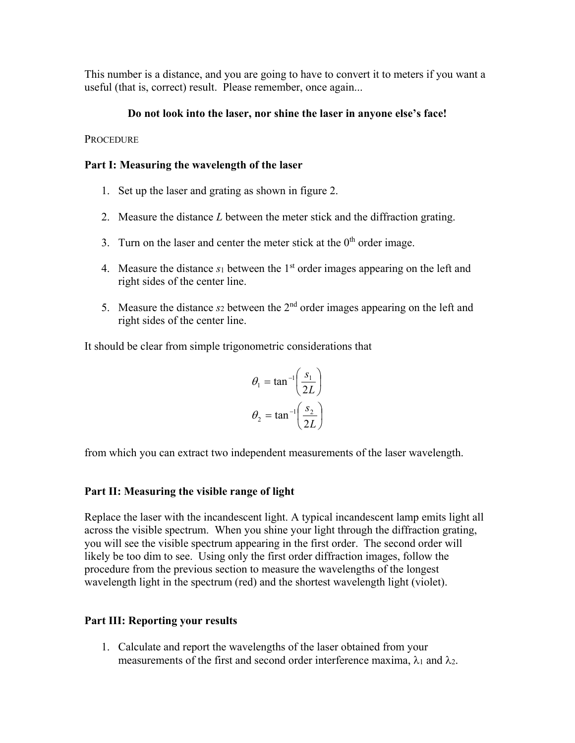This number is a distance, and you are going to have to convert it to meters if you want a useful (that is, correct) result. Please remember, once again...

## **Do not look into the laser, nor shine the laser in anyone else's face!**

### **PROCEDURE**

# **Part I: Measuring the wavelength of the laser**

- 1. Set up the laser and grating as shown in figure 2.
- 2. Measure the distance *L* between the meter stick and the diffraction grating.
- 3. Turn on the laser and center the meter stick at the  $0<sup>th</sup>$  order image.
- 4. Measure the distance  $s_1$  between the  $1<sup>st</sup>$  order images appearing on the left and right sides of the center line.
- 5. Measure the distance  $s_2$  between the  $2<sup>nd</sup>$  order images appearing on the left and right sides of the center line.

It should be clear from simple trigonometric considerations that

$$
\theta_1 = \tan^{-1} \left( \frac{s_1}{2L} \right)
$$

$$
\theta_2 = \tan^{-1} \left( \frac{s_2}{2L} \right)
$$

from which you can extract two independent measurements of the laser wavelength.

# **Part II: Measuring the visible range of light**

Replace the laser with the incandescent light. A typical incandescent lamp emits light all across the visible spectrum. When you shine your light through the diffraction grating, you will see the visible spectrum appearing in the first order. The second order will likely be too dim to see. Using only the first order diffraction images, follow the procedure from the previous section to measure the wavelengths of the longest wavelength light in the spectrum (red) and the shortest wavelength light (violet).

# **Part III: Reporting your results**

1. Calculate and report the wavelengths of the laser obtained from your measurements of the first and second order interference maxima,  $\lambda_1$  and  $\lambda_2$ .